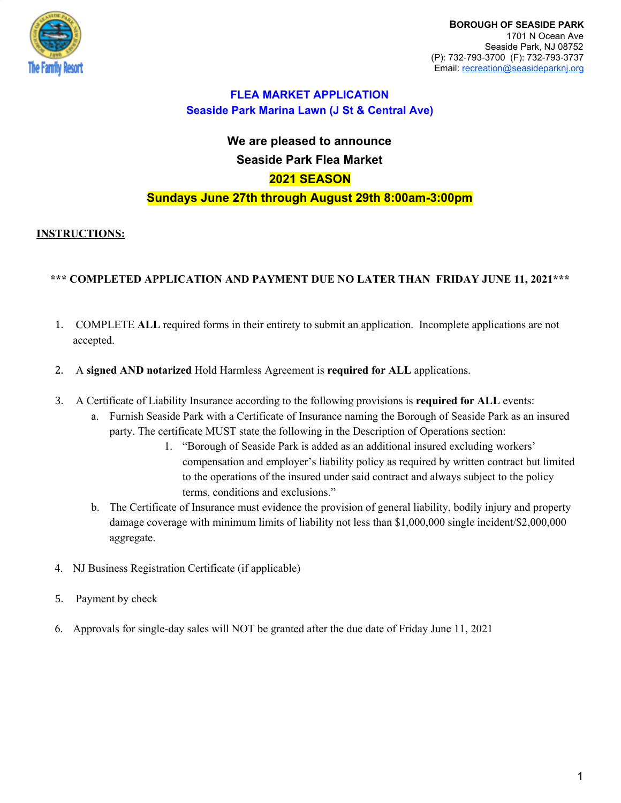

# **We are pleased to announce Seaside Park Flea Market 2021 SEASON Sundays June 27th through August 29th 8:00am-3:00pm**

## **INSTRUCTIONS:**

## **\*\*\* COMPLETED APPLICATION AND PAYMENT DUE NO LATER THAN FRIDAY JUNE 11, 2021\*\*\***

- 1. COMPLETE **ALL** required forms in their entirety to submit an application. Incomplete applications are not accepted.
- 2. A **signed AND notarized** Hold Harmless Agreement is **required for ALL** applications.
- 3. A Certificate of Liability Insurance according to the following provisions is **required for ALL** events:
	- a. Furnish Seaside Park with a Certificate of Insurance naming the Borough of Seaside Park as an insured party. The certificate MUST state the following in the Description of Operations section:
		- 1. "Borough of Seaside Park is added as an additional insured excluding workers' compensation and employer's liability policy as required by written contract but limited to the operations of the insured under said contract and always subject to the policy terms, conditions and exclusions."
	- b. The Certificate of Insurance must evidence the provision of general liability, bodily injury and property damage coverage with minimum limits of liability not less than \$1,000,000 single incident/\$2,000,000 aggregate.
- 4. NJ Business Registration Certificate (if applicable)
- 5. Payment by check
- 6. Approvals for single-day sales will NOT be granted after the due date of Friday June 11, 2021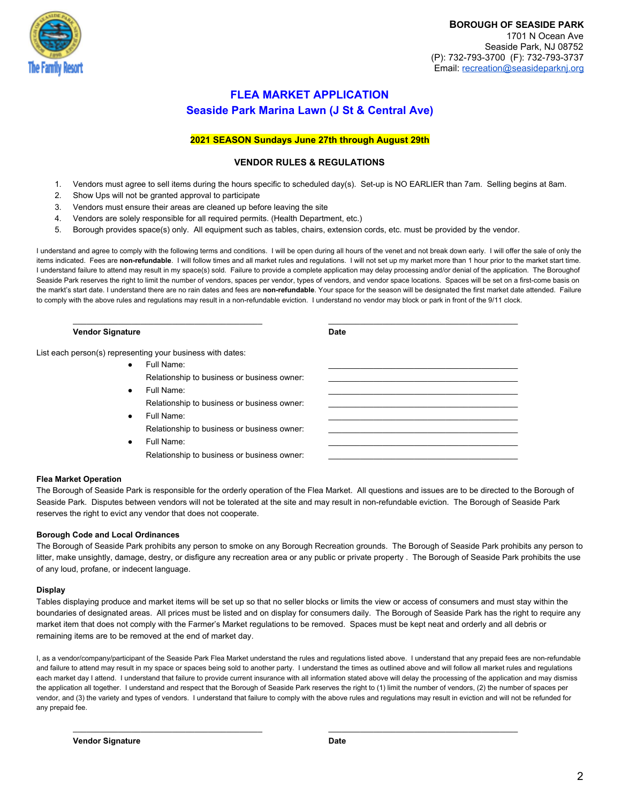

### **2021 SEASON Sundays June 27th through August 29th**

### **VENDOR RULES & REGULATIONS**

- 1. Vendors must agree to sell items during the hours specific to scheduled day(s). Set-up is NO EARLIER than 7am. Selling begins at 8am.
- 2. Show Ups will not be granted approval to participate
- 3. Vendors must ensure their areas are cleaned up before leaving the site
- 4. Vendors are solely responsible for all required permits. (Health Department, etc.)
- 5. Borough provides space(s) only. All equipment such as tables, chairs, extension cords, etc. must be provided by the vendor.

I understand and agree to comply with the following terms and conditions. I will be open during all hours of the venet and not break down early. I will offer the sale of only the items indicated. Fees are **non-refundable**. I will follow times and all market rules and regulations. I will not set up my market more than 1 hour prior to the market start time. I understand failure to attend may result in my space(s) sold. Failure to provide a complete application may delay processing and/or denial of the application. The Boroughof Seaside Park reserves the right to limit the number of vendors, spaces per vendor, types of vendors, and vendor space locations. Spaces will be set on a first-come basis on the markt's start date. I understand there are no rain dates and fees are **non-refundable**. Your space for the season will be designated the first market date attended. Failure to comply with the above rules and regulations may result in a non-refundable eviction. I understand no vendor may block or park in front of the 9/11 clock.

\_\_\_\_\_\_\_\_\_\_\_\_\_\_\_\_\_\_\_\_\_\_\_\_\_\_\_\_\_\_\_\_\_\_\_\_\_\_\_\_\_\_ \_\_\_\_\_\_\_\_\_\_\_\_\_\_\_\_\_\_\_\_\_\_\_\_\_\_\_\_\_\_\_\_\_\_\_\_\_\_\_\_\_\_

#### **Vendor Signature Date**

List each person(s) representing your business with dates:

● Full Name: \_\_\_\_\_\_\_\_\_\_\_\_\_\_\_\_\_\_\_\_\_\_\_\_\_\_\_\_\_\_\_\_\_\_\_\_\_\_\_\_\_\_ Relationship to business or business owner: ● Full Name: \_\_\_\_\_\_\_\_\_\_\_\_\_\_\_\_\_\_\_\_\_\_\_\_\_\_\_\_\_\_\_\_\_\_\_\_\_\_\_\_\_\_ Relationship to business or business owner: ● Full Name: \_\_\_\_\_\_\_\_\_\_\_\_\_\_\_\_\_\_\_\_\_\_\_\_\_\_\_\_\_\_\_\_\_\_\_\_\_\_\_\_\_\_ Relationship to business or business owner: ● Full Name: \_\_\_\_\_\_\_\_\_\_\_\_\_\_\_\_\_\_\_\_\_\_\_\_\_\_\_\_\_\_\_\_\_\_\_\_\_\_\_\_\_\_

Relationship to business or business owner:

#### **Flea Market Operation**

The Borough of Seaside Park is responsible for the orderly operation of the Flea Market. All questions and issues are to be directed to the Borough of Seaside Park. Disputes between vendors will not be tolerated at the site and may result in non-refundable eviction. The Borough of Seaside Park reserves the right to evict any vendor that does not cooperate.

#### **Borough Code and Local Ordinances**

The Borough of Seaside Park prohibits any person to smoke on any Borough Recreation grounds. The Borough of Seaside Park prohibits any person to litter, make unsightly, damage, destry, or disfigure any recreation area or any public or private property . The Borough of Seaside Park prohibits the use of any loud, profane, or indecent language.

#### **Display**

Tables displaying produce and market items will be set up so that no seller blocks or limits the view or access of consumers and must stay within the boundaries of designated areas. All prices must be listed and on display for consumers daily. The Borough of Seaside Park has the right to require any market item that does not comply with the Farmer's Market regulations to be removed. Spaces must be kept neat and orderly and all debris or remaining items are to be removed at the end of market day.

I, as a vendor/company/participant of the Seaside Park Flea Market understand the rules and regulations listed above. I understand that any prepaid fees are non-refundable and failure to attend may result in my space or spaces being sold to another party. I understand the times as outlined above and will follow all market rules and regulations each market day I attend. I understand that failure to provide current insurance with all information stated above will delay the processing of the application and may dismiss the application all together. I understand and respect that the Borough of Seaside Park reserves the right to (1) limit the number of vendors, (2) the number of spaces per vendor, and (3) the variety and types of vendors. I understand that failure to comply with the above rules and regulations may result in eviction and will not be refunded for any prepaid fee.

\_\_\_\_\_\_\_\_\_\_\_\_\_\_\_\_\_\_\_\_\_\_\_\_\_\_\_\_\_\_\_\_\_\_\_\_\_\_\_\_\_\_ \_\_\_\_\_\_\_\_\_\_\_\_\_\_\_\_\_\_\_\_\_\_\_\_\_\_\_\_\_\_\_\_\_\_\_\_\_\_\_\_\_\_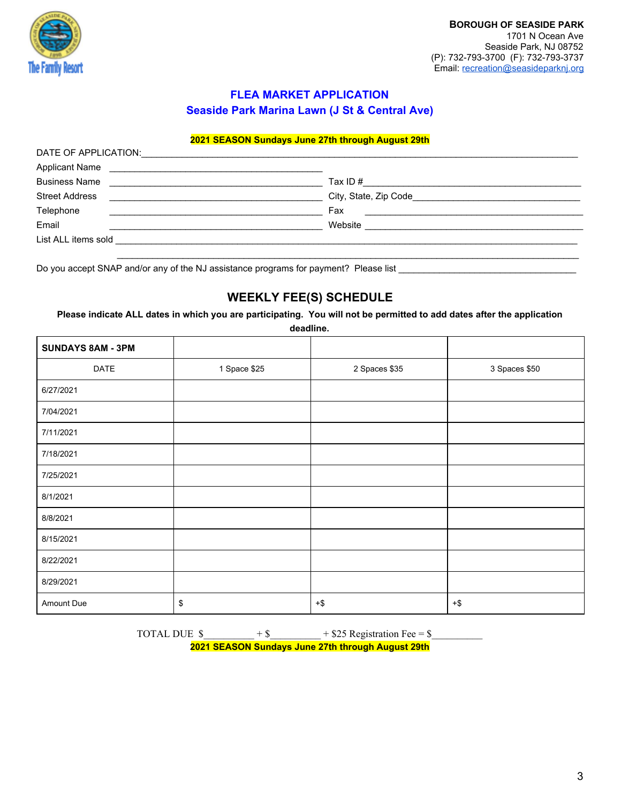

### **2021 SEASON Sundays June 27th through August 29th**

| DATE OF APPLICATION:                                                   |                                                                                                                              |  |
|------------------------------------------------------------------------|------------------------------------------------------------------------------------------------------------------------------|--|
| <b>Applicant Name</b><br><u> 1980 - Andrea Andrew Maria (h. 1980).</u> |                                                                                                                              |  |
| <b>Business Name</b><br><u> 1989 - Andrea Andrew Maria (b. 1989)</u>   | Tax ID # $\qquad \qquad \qquad$                                                                                              |  |
| <b>Street Address</b>                                                  | City, State, Zip Code_                                                                                                       |  |
| Telephone                                                              | Fax<br><u> 1989 - John Harry Harry Harry Harry Harry Harry Harry Harry Harry Harry Harry Harry Harry Harry Harry Harry H</u> |  |
| Email                                                                  | Website                                                                                                                      |  |
| List ALL items sold                                                    |                                                                                                                              |  |
|                                                                        |                                                                                                                              |  |

Do you accept SNAP and/or any of the NJ assistance programs for payment? Please list \_\_\_\_\_\_\_\_\_\_\_\_\_\_\_\_\_\_\_\_\_\_\_\_\_\_\_\_\_\_\_\_\_\_\_

## **WEEKLY FEE(S) SCHEDULE**

**Please indicate ALL dates in which you are participating. You will not be permitted to add dates after the application**

**deadline.**

| <b>SUNDAYS 8AM - 3PM</b> |              |                                 |               |
|--------------------------|--------------|---------------------------------|---------------|
| DATE                     | 1 Space \$25 | 2 Spaces \$35                   | 3 Spaces \$50 |
| 6/27/2021                |              |                                 |               |
| 7/04/2021                |              |                                 |               |
| 7/11/2021                |              |                                 |               |
| 7/18/2021                |              |                                 |               |
| 7/25/2021                |              |                                 |               |
| 8/1/2021                 |              |                                 |               |
| 8/8/2021                 |              |                                 |               |
| 8/15/2021                |              |                                 |               |
| 8/22/2021                |              |                                 |               |
| 8/29/2021                |              |                                 |               |
| Amount Due               | \$           | $\boldsymbol{+}\boldsymbol{\$}$ | $+$ \$        |

TOTAL DUE  $\frac{\sqrt{3}}{2}$  + \$\_\_\_\_\_\_\_\_\_\_\_\_ + \$25 Registration Fee = \$\_\_\_\_\_\_\_\_\_\_\_\_\_\_\_ **2021 SEASON Sundays June 27th through August 29th**